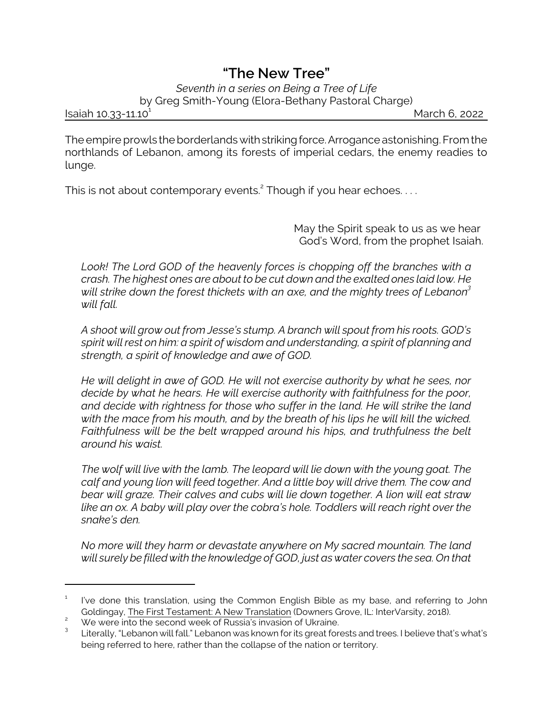## *"The New Tree"*

*Seventh in a series on Being a Tree of Life* by Greg Smith-Young (Elora-Bethany Pastoral Charge)  $Isa$ iah 10.33-11.10<sup>1</sup> March 6, 2022

The empire prowls the borderlands withstrikingforce.Arrogance astonishing. From the northlands of Lebanon, among its forests of imperial cedars, the enemy readies to lunge.

This is not about contemporary events. $^2$  Though if you hear echoes.  $\dots$ 

May the Spirit speak to us as we hear God's Word, from the prophet Isaiah.

*Look! The Lord GOD of the heavenly forces is chopping off the branches with a crash. The highest ones are about to be cut down and the exalted ones laid low. He will strike down the forest thickets with an axe, and the mighty trees of Lebanon<sup>3</sup> will fall.*

*A shoot will grow out from Jesse's stump. A branch will spout from his roots. GOD's spirit will rest on him: a spirit of wisdom and understanding, a spirit of planning and strength, a spirit of knowledge and awe of GOD.* 

*He will delight in awe of GOD. He will not exercise authority by what he sees, nor decide by what he hears. He will exercise authority with faithfulness for the poor, and decide with rightness for those who suffer in the land. He will strike the land with the mace from his mouth, and by the breath of his lips he will kill the wicked. Faithfulness will be the belt wrapped around his hips, and truthfulness the belt around his waist.*

*The wolf will live with the lamb. The leopard will lie down with the young goat. The calf and young lion will feed together. And a little boy will drive them. The cow and bear will graze. Their calves and cubs will lie down together. A lion will eat straw like an ox. A baby will play over the cobra's hole. Toddlers will reach right over the snake's den.*

*No more will they harm or devastate anywhere on My sacred mountain. The land will surely be filled with the knowledge of GOD, just as water covers the sea. On that*

<sup>1</sup> I've done this translation, using the Common English Bible as my base, and referring to John Goldingay, The First Testament: A New Translation (Downers Grove, IL: InterVarsity, 2018).

We were into the second week of Russia's invasion of Ukraine.

<sup>3</sup> Literally, "Lebanon will fall." Lebanon was known for its great forests and trees. I believe that's what's being referred to here, rather than the collapse of the nation or territory.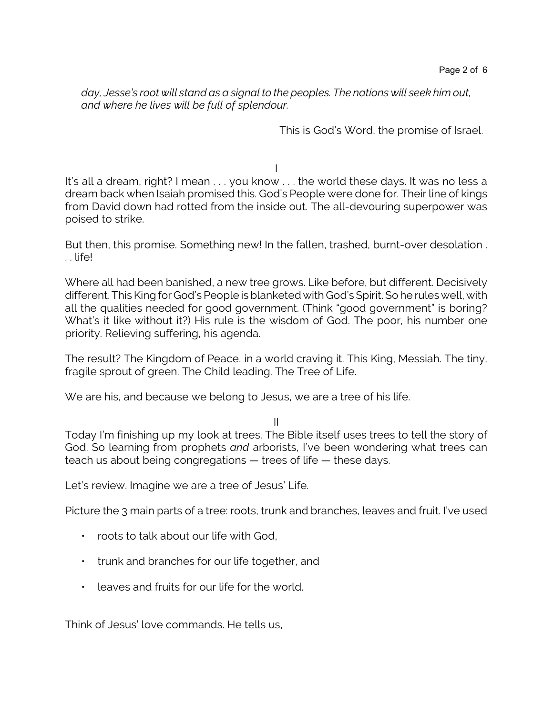*day, Jesse's root will stand as a signal to the peoples. The nations will seek him out, and where he lives will be full of splendour.*

This is God's Word, the promise of Israel.

I

It's all a dream, right? I mean . . . you know . . . the world these days. It was no less a dream back when Isaiah promised this. God's People were done for. Their line of kings from David down had rotted from the inside out. The all-devouring superpower was poised to strike.

But then, this promise. Something new! In the fallen, trashed, burnt-over desolation . . . life!

Where all had been banished, a new tree grows. Like before, but different. Decisively different. This King for God's People is blanketed with God's Spirit. So he rules well, with all the qualities needed for good government. (Think "good government" is boring? What's it like without it?) His rule is the wisdom of God. The poor, his number one priority. Relieving suffering, his agenda.

The result? The Kingdom of Peace, in a world craving it. This King, Messiah. The tiny, fragile sprout of green. The Child leading. The Tree of Life.

We are his, and because we belong to Jesus, we are a tree of his life.

II

Today I'm finishing up my look at trees. The Bible itself uses trees to tell the story of God. So learning from prophets *and* arborists, I've been wondering what trees can teach us about being congregations — trees of life — these days.

Let's review. Imagine we are a tree of Jesus' Life.

Picture the 3 main parts of a tree: roots, trunk and branches, leaves and fruit. I've used

- roots to talk about our life with God,
- trunk and branches for our life together, and
- leaves and fruits for our life for the world.

Think of Jesus' love commands. He tells us,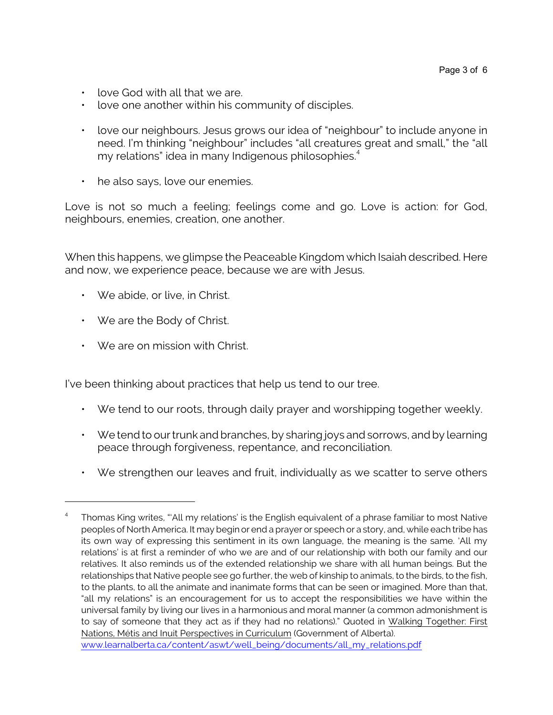- love God with all that we are.
- love one another within his community of disciples.
- love our neighbours. Jesus grows our idea of "neighbour" to include anyone in need. I'm thinking "neighbour" includes "all creatures great and small," the "all my relations" idea in many Indigenous philosophies. $4$
- he also says, love our enemies.

Love is not so much a feeling; feelings come and go. Love is action: for God, neighbours, enemies, creation, one another.

When this happens, we glimpse the Peaceable Kingdom which Isaiah described. Here and now, we experience peace, because we are with Jesus.

- We abide, or live, in Christ.
- We are the Body of Christ.
- We are on mission with Christ.

I've been thinking about practices that help us tend to our tree.

- We tend to our roots, through daily prayer and worshipping together weekly.
- We tend to our trunk and branches, by sharing joys and sorrows, and by learning peace through forgiveness, repentance, and reconciliation.
- We strengthen our leaves and fruit, individually as we scatter to serve others

<sup>4</sup> Thomas King writes, "'All my relations' is the English equivalent of a phrase familiar to most Native peoples of North America. It may begin or end a prayer or speech or a story, and, while each tribe has its own way of expressing this sentiment in its own language, the meaning is the same. 'All my relations' is at first a reminder of who we are and of our relationship with both our family and our relatives. It also reminds us of the extended relationship we share with all human beings. But the relationships that Native people see go further, the web of kinship to animals, to the birds, to the fish, to the plants, to all the animate and inanimate forms that can be seen or imagined. More than that, "all my relations" is an encouragement for us to accept the responsibilities we have within the universal family by living our lives in a harmonious and moral manner (a common admonishment is to say of someone that they act as if they had no relations)." Quoted in Walking Together: First Nations, Métis and Inuit Perspectives in Curriculum (Government of Alberta). [www.learnalberta.ca/content/aswt/well\\_being/documents/all\\_my\\_relations.pdf](https://www.learnalberta.ca/content/aswt/well_being/documents/all_my_relations.pdf)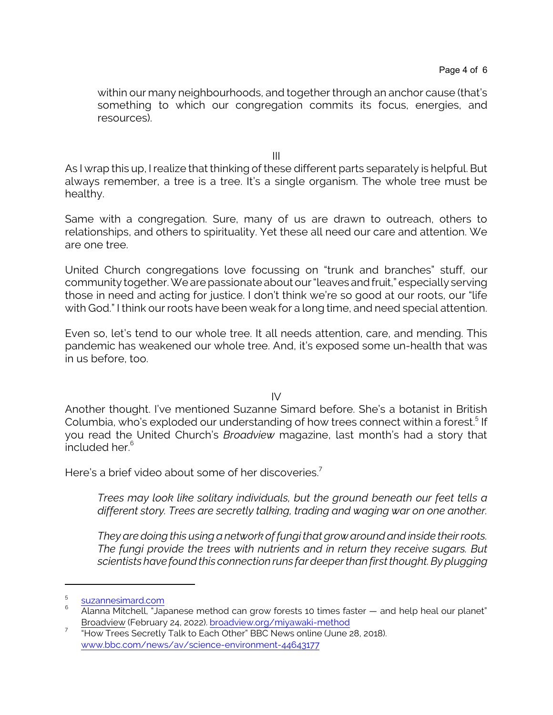within our many neighbourhoods, and together through an anchor cause (that's something to which our congregation commits its focus, energies, and resources).

III

As I wrap this up, I realize that thinking of these different parts separately is helpful. But always remember, a tree is a tree. It's a single organism. The whole tree must be healthy.

Same with a congregation. Sure, many of us are drawn to outreach, others to relationships, and others to spirituality. Yet these all need our care and attention. We are one tree.

United Church congregations love focussing on "trunk and branches" stuff, our community together. We are passionate about our "leaves and fruit," especially serving those in need and acting for justice. I don't think we're so good at our roots, our "life with God." I think our roots have been weak for a long time, and need special attention.

Even so, let's tend to our whole tree. It all needs attention, care, and mending. This pandemic has weakened our whole tree. And, it's exposed some un-health that was in us before, too.

IV

Another thought. I've mentioned Suzanne Simard before. She's a botanist in British Columbia, who's exploded our understanding of how trees connect within a forest.<sup>5</sup> If you read the United Church's *Broadview* magazine, last month's had a story that included her.<sup>6</sup>

Here's a brief video about some of her discoveries.<sup>7</sup>

*Trees may look like solitary individuals, but the ground beneath our feet tells a different story. Trees are secretly talking, trading and waging war on one another.*

*They are doing this using a network of fungi that grow around and inside their roots. The fungi provide the trees with nutrients and in return they receive sugars. But scientists have found this connection runs far deeper than first thought. By plugging*

<sup>5</sup> [suzannesimard.com](https://suzannesimard.com/) <sup>6</sup>

Alanna Mitchell, "Japanese method can grow forests 10 times faster — and help heal our planet" Broadview (February 24, 2022). [broadview.org/miyawaki-method](https://broadview.org/miyawaki-method/)

<sup>&</sup>lt;sup>7</sup> How Trees Secretly Talk to Each Other" BBC News online (June 28, 2018). [www.bbc.com/news/av/science-environment-44643177](https://www.bbc.com/news/av/science-environment-44643177)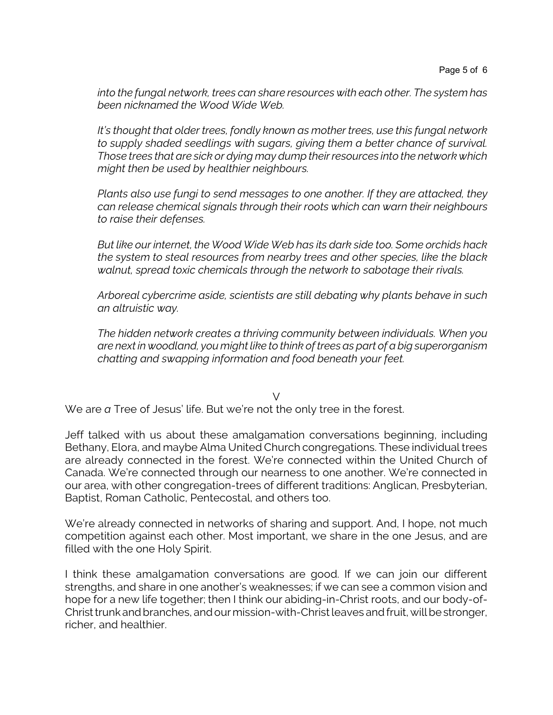*into the fungal network, trees can share resources with each other. The system has been nicknamed the Wood Wide Web.* 

*It's thought that older trees, fondly known as mother trees, use this fungal network to supply shaded seedlings with sugars, giving them a better chance of survival. Those trees that are sick or dying may dump their resources into the network which might then be used by healthier neighbours.* 

*Plants also use fungi to send messages to one another. If they are attacked, they can release chemical signals through their roots which can warn their neighbours to raise their defenses.* 

*But like our internet, the Wood Wide Web has its dark side too. Some orchids hack the system to steal resources from nearby trees and other species, like the black walnut, spread toxic chemicals through the network to sabotage their rivals.*

*Arboreal cybercrime aside, scientists are still debating why plants behave in such an altruistic way.* 

*The hidden network creates a thriving community between individuals. When you are next in woodland, you might like to think of trees as part of a big superorganism chatting and swapping information and food beneath your feet.* 

 $\vee$ 

We are *a* Tree of Jesus' life. But we're not the only tree in the forest.

Jeff talked with us about these amalgamation conversations beginning, including Bethany, Elora, and maybe Alma United Church congregations. These individual trees are already connected in the forest. We're connected within the United Church of Canada. We're connected through our nearness to one another. We're connected in our area, with other congregation-trees of different traditions: Anglican, Presbyterian, Baptist, Roman Catholic, Pentecostal, and others too.

We're already connected in networks of sharing and support. And, I hope, not much competition against each other. Most important, we share in the one Jesus, and are filled with the one Holy Spirit.

I think these amalgamation conversations are good. If we can join our different strengths, and share in one another's weaknesses; if we can see a common vision and hope for a new life together; then I think our abiding-in-Christ roots, and our body-of-Christ trunk and branches, and our mission-with-Christ leaves and fruit, will be stronger, richer, and healthier.